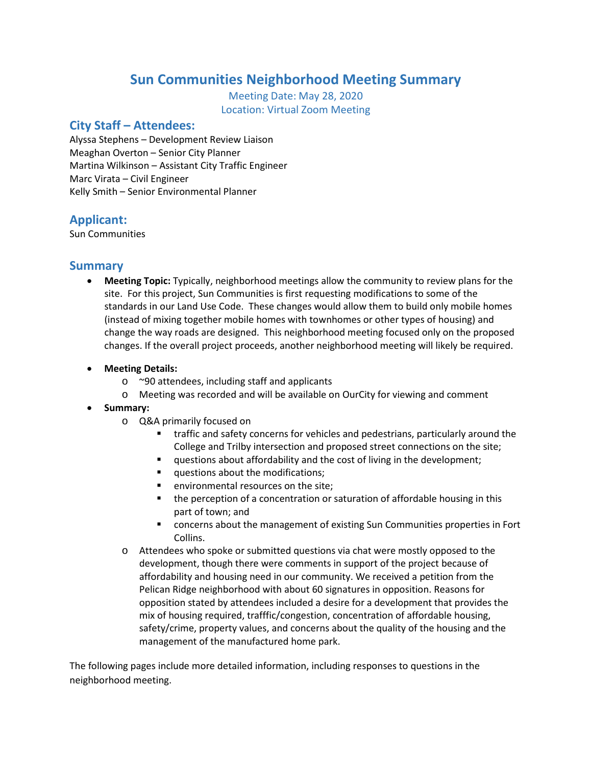# **Sun Communities Neighborhood Meeting Summary**

Meeting Date: May 28, 2020 Location: Virtual Zoom Meeting

#### **City Staff – Attendees:**

Alyssa Stephens – Development Review Liaison Meaghan Overton – Senior City Planner Martina Wilkinson – Assistant City Traffic Engineer Marc Virata – Civil Engineer Kelly Smith – Senior Environmental Planner

### **Applicant:**

Sun Communities

#### **Summary**

- **Meeting Topic:** Typically, neighborhood meetings allow the community to review plans for the site. For this project, Sun Communities is first requesting modifications to some of the standards in our Land Use Code. These changes would allow them to build only mobile homes (instead of mixing together mobile homes with townhomes or other types of housing) and change the way roads are designed. This neighborhood meeting focused only on the proposed changes. If the overall project proceeds, another neighborhood meeting will likely be required.
- **Meeting Details:**
	- o ~90 attendees, including staff and applicants
	- o Meeting was recorded and will be available on OurCity for viewing and comment
- **Summary:**
	- o Q&A primarily focused on
		- **traffic and safety concerns for vehicles and pedestrians, particularly around the** College and Trilby intersection and proposed street connections on the site;
		- **questions about affordability and the cost of living in the development;**
		- questions about the modifications;
		- **EXECUTE:** environmental resources on the site;
		- **the perception of a concentration or saturation of affordable housing in this** part of town; and
		- concerns about the management of existing Sun Communities properties in Fort Collins.
	- o Attendees who spoke or submitted questions via chat were mostly opposed to the development, though there were comments in support of the project because of affordability and housing need in our community. We received a petition from the Pelican Ridge neighborhood with about 60 signatures in opposition. Reasons for opposition stated by attendees included a desire for a development that provides the mix of housing required, trafffic/congestion, concentration of affordable housing, safety/crime, property values, and concerns about the quality of the housing and the management of the manufactured home park.

The following pages include more detailed information, including responses to questions in the neighborhood meeting.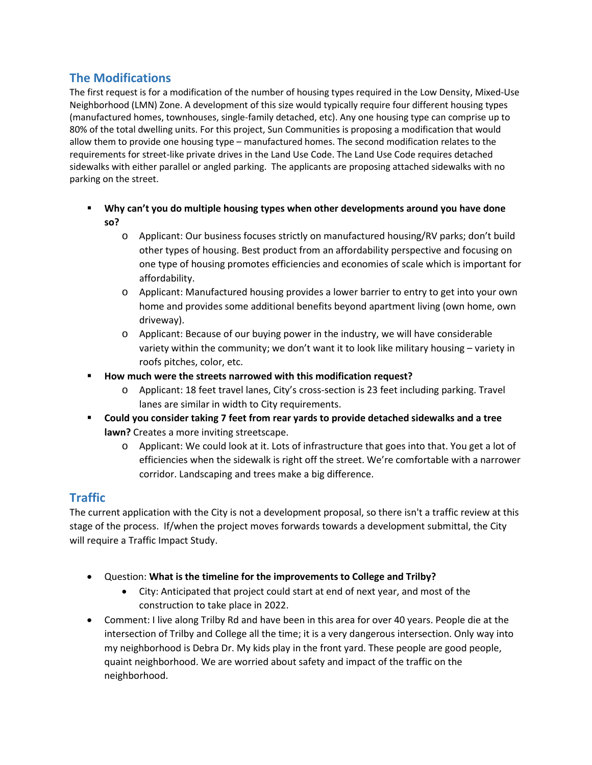## **The Modifications**

The first request is for a modification of the number of housing types required in the Low Density, Mixed-Use Neighborhood (LMN) Zone. A development of this size would typically require four different housing types (manufactured homes, townhouses, single-family detached, etc). Any one housing type can comprise up to 80% of the total dwelling units. For this project, Sun Communities is proposing a modification that would allow them to provide one housing type – manufactured homes. The second modification relates to the requirements for street-like private drives in the Land Use Code. The Land Use Code requires detached sidewalks with either parallel or angled parking. The applicants are proposing attached sidewalks with no parking on the street.

- **Why can't you do multiple housing types when other developments around you have done so?**
	- o Applicant: Our business focuses strictly on manufactured housing/RV parks; don't build other types of housing. Best product from an affordability perspective and focusing on one type of housing promotes efficiencies and economies of scale which is important for affordability.
	- o Applicant: Manufactured housing provides a lower barrier to entry to get into your own home and provides some additional benefits beyond apartment living (own home, own driveway).
	- o Applicant: Because of our buying power in the industry, we will have considerable variety within the community; we don't want it to look like military housing – variety in roofs pitches, color, etc.
- **How much were the streets narrowed with this modification request?**
	- o Applicant: 18 feet travel lanes, City's cross-section is 23 feet including parking. Travel lanes are similar in width to City requirements.
- **Could you consider taking 7 feet from rear yards to provide detached sidewalks and a tree lawn?** Creates a more inviting streetscape.
	- o Applicant: We could look at it. Lots of infrastructure that goes into that. You get a lot of efficiencies when the sidewalk is right off the street. We're comfortable with a narrower corridor. Landscaping and trees make a big difference.

# **Traffic**

The current application with the City is not a development proposal, so there isn't a traffic review at this stage of the process. If/when the project moves forwards towards a development submittal, the City will require a Traffic Impact Study.

- Question: **What is the timeline for the improvements to College and Trilby?**
	- City: Anticipated that project could start at end of next year, and most of the construction to take place in 2022.
- Comment: I live along Trilby Rd and have been in this area for over 40 years. People die at the intersection of Trilby and College all the time; it is a very dangerous intersection. Only way into my neighborhood is Debra Dr. My kids play in the front yard. These people are good people, quaint neighborhood. We are worried about safety and impact of the traffic on the neighborhood.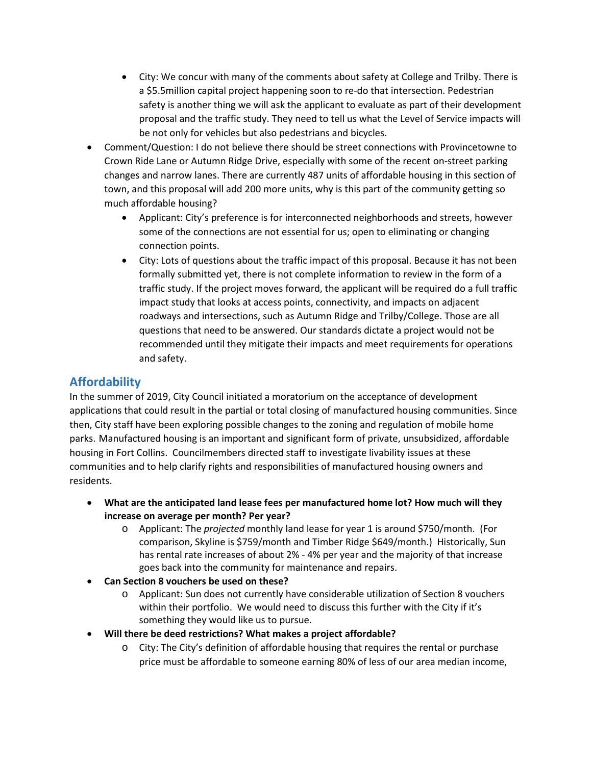- City: We concur with many of the comments about safety at College and Trilby. There is a \$5.5million capital project happening soon to re-do that intersection. Pedestrian safety is another thing we will ask the applicant to evaluate as part of their development proposal and the traffic study. They need to tell us what the Level of Service impacts will be not only for vehicles but also pedestrians and bicycles.
- Comment/Question: I do not believe there should be street connections with Provincetowne to Crown Ride Lane or Autumn Ridge Drive, especially with some of the recent on-street parking changes and narrow lanes. There are currently 487 units of affordable housing in this section of town, and this proposal will add 200 more units, why is this part of the community getting so much affordable housing?
	- Applicant: City's preference is for interconnected neighborhoods and streets, however some of the connections are not essential for us; open to eliminating or changing connection points.
	- City: Lots of questions about the traffic impact of this proposal. Because it has not been formally submitted yet, there is not complete information to review in the form of a traffic study. If the project moves forward, the applicant will be required do a full traffic impact study that looks at access points, connectivity, and impacts on adjacent roadways and intersections, such as Autumn Ridge and Trilby/College. Those are all questions that need to be answered. Our standards dictate a project would not be recommended until they mitigate their impacts and meet requirements for operations and safety.

### **Affordability**

In the summer of 2019, City Council initiated a moratorium on the acceptance of development applications that could result in the partial or total closing of manufactured housing communities. Since then, City staff have been exploring possible changes to the zoning and regulation of mobile home parks. Manufactured housing is an important and significant form of private, unsubsidized, affordable housing in Fort Collins. Councilmembers directed staff to investigate livability issues at these communities and to help clarify rights and responsibilities of manufactured housing owners and residents.

- **What are the anticipated land lease fees per manufactured home lot? How much will they increase on average per month? Per year?**
	- o Applicant: The *projected* monthly land lease for year 1 is around \$750/month. (For comparison, Skyline is \$759/month and Timber Ridge \$649/month.) Historically, Sun has rental rate increases of about 2% - 4% per year and the majority of that increase goes back into the community for maintenance and repairs.
- **Can Section 8 vouchers be used on these?** 
	- o Applicant: Sun does not currently have considerable utilization of Section 8 vouchers within their portfolio. We would need to discuss this further with the City if it's something they would like us to pursue.
- **Will there be deed restrictions? What makes a project affordable?**
	- o City: The City's definition of affordable housing that requires the rental or purchase price must be affordable to someone earning 80% of less of our area median income,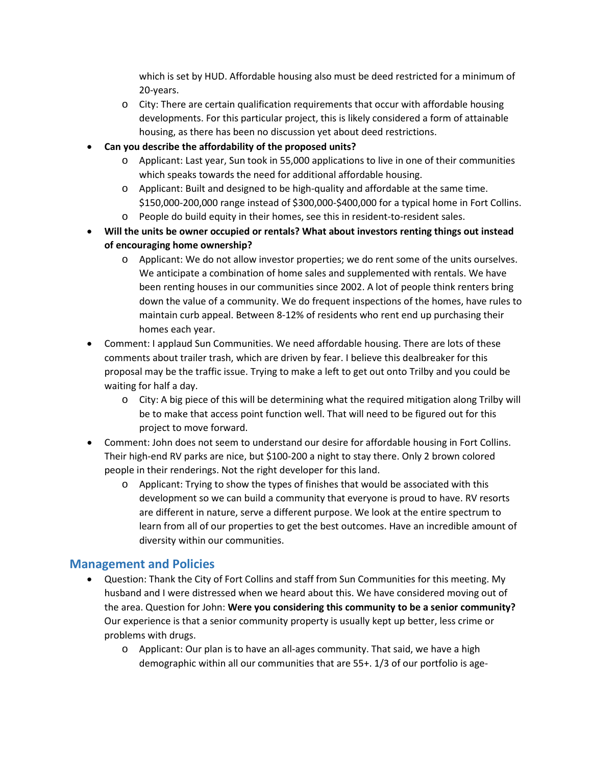which is set by HUD. Affordable housing also must be deed restricted for a minimum of 20-years.

- o City: There are certain qualification requirements that occur with affordable housing developments. For this particular project, this is likely considered a form of attainable housing, as there has been no discussion yet about deed restrictions.
- **Can you describe the affordability of the proposed units?**
	- o Applicant: Last year, Sun took in 55,000 applications to live in one of their communities which speaks towards the need for additional affordable housing.
	- o Applicant: Built and designed to be high-quality and affordable at the same time. \$150,000-200,000 range instead of \$300,000-\$400,000 for a typical home in Fort Collins.
	- o People do build equity in their homes, see this in resident-to-resident sales.
- **Will the units be owner occupied or rentals? What about investors renting things out instead of encouraging home ownership?**
	- o Applicant: We do not allow investor properties; we do rent some of the units ourselves. We anticipate a combination of home sales and supplemented with rentals. We have been renting houses in our communities since 2002. A lot of people think renters bring down the value of a community. We do frequent inspections of the homes, have rules to maintain curb appeal. Between 8-12% of residents who rent end up purchasing their homes each year.
- Comment: I applaud Sun Communities. We need affordable housing. There are lots of these comments about trailer trash, which are driven by fear. I believe this dealbreaker for this proposal may be the traffic issue. Trying to make a left to get out onto Trilby and you could be waiting for half a day.
	- o City: A big piece of this will be determining what the required mitigation along Trilby will be to make that access point function well. That will need to be figured out for this project to move forward.
- Comment: John does not seem to understand our desire for affordable housing in Fort Collins. Their high-end RV parks are nice, but \$100-200 a night to stay there. Only 2 brown colored people in their renderings. Not the right developer for this land.
	- $\circ$  Applicant: Trying to show the types of finishes that would be associated with this development so we can build a community that everyone is proud to have. RV resorts are different in nature, serve a different purpose. We look at the entire spectrum to learn from all of our properties to get the best outcomes. Have an incredible amount of diversity within our communities.

### **Management and Policies**

- Question: Thank the City of Fort Collins and staff from Sun Communities for this meeting. My husband and I were distressed when we heard about this. We have considered moving out of the area. Question for John: **Were you considering this community to be a senior community?** Our experience is that a senior community property is usually kept up better, less crime or problems with drugs.
	- o Applicant: Our plan is to have an all-ages community. That said, we have a high demographic within all our communities that are 55+. 1/3 of our portfolio is age-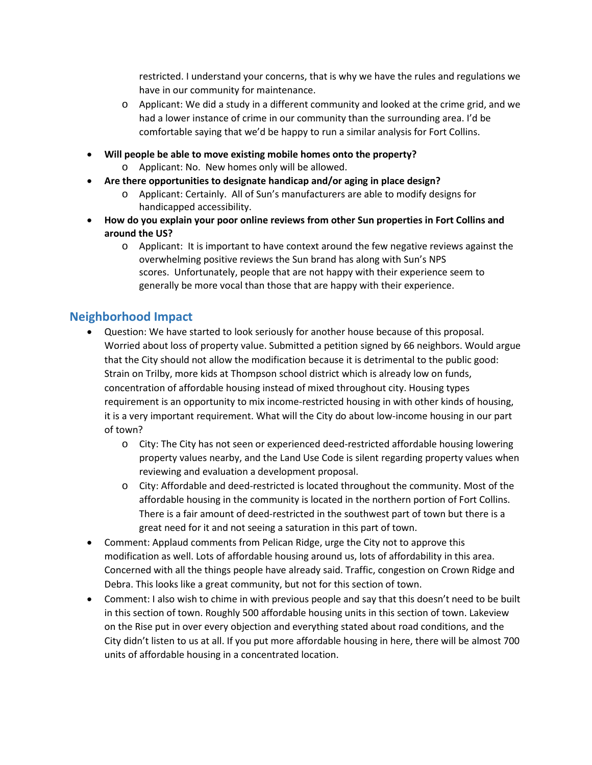restricted. I understand your concerns, that is why we have the rules and regulations we have in our community for maintenance.

- $\circ$  Applicant: We did a study in a different community and looked at the crime grid, and we had a lower instance of crime in our community than the surrounding area. I'd be comfortable saying that we'd be happy to run a similar analysis for Fort Collins.
- **Will people be able to move existing mobile homes onto the property?**
	- o Applicant: No. New homes only will be allowed.
- **Are there opportunities to designate handicap and/or aging in place design?**
	- o Applicant: Certainly. All of Sun's manufacturers are able to modify designs for handicapped accessibility.
- **How do you explain your poor online reviews from other Sun properties in Fort Collins and around the US?**
	- o Applicant: It is important to have context around the few negative reviews against the overwhelming positive reviews the Sun brand has along with Sun's NPS scores. Unfortunately, people that are not happy with their experience seem to generally be more vocal than those that are happy with their experience.

#### **Neighborhood Impact**

- Question: We have started to look seriously for another house because of this proposal. Worried about loss of property value. Submitted a petition signed by 66 neighbors. Would argue that the City should not allow the modification because it is detrimental to the public good: Strain on Trilby, more kids at Thompson school district which is already low on funds, concentration of affordable housing instead of mixed throughout city. Housing types requirement is an opportunity to mix income-restricted housing in with other kinds of housing, it is a very important requirement. What will the City do about low-income housing in our part of town?
	- o City: The City has not seen or experienced deed-restricted affordable housing lowering property values nearby, and the Land Use Code is silent regarding property values when reviewing and evaluation a development proposal.
	- o City: Affordable and deed-restricted is located throughout the community. Most of the affordable housing in the community is located in the northern portion of Fort Collins. There is a fair amount of deed-restricted in the southwest part of town but there is a great need for it and not seeing a saturation in this part of town.
- Comment: Applaud comments from Pelican Ridge, urge the City not to approve this modification as well. Lots of affordable housing around us, lots of affordability in this area. Concerned with all the things people have already said. Traffic, congestion on Crown Ridge and Debra. This looks like a great community, but not for this section of town.
- Comment: I also wish to chime in with previous people and say that this doesn't need to be built in this section of town. Roughly 500 affordable housing units in this section of town. Lakeview on the Rise put in over every objection and everything stated about road conditions, and the City didn't listen to us at all. If you put more affordable housing in here, there will be almost 700 units of affordable housing in a concentrated location.